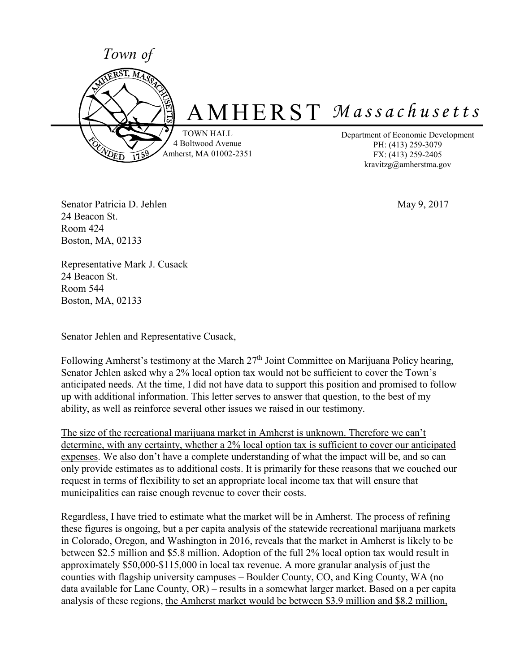

Senator Patricia D. Jehlen May 9, 2017 24 Beacon St. Room 424 Boston, MA, 02133

Representative Mark J. Cusack 24 Beacon St. Room 544 Boston, MA, 02133

Senator Jehlen and Representative Cusack,

Following Amherst's testimony at the March 27<sup>th</sup> Joint Committee on Marijuana Policy hearing, Senator Jehlen asked why a 2% local option tax would not be sufficient to cover the Town's anticipated needs. At the time, I did not have data to support this position and promised to follow up with additional information. This letter serves to answer that question, to the best of my ability, as well as reinforce several other issues we raised in our testimony.

The size of the recreational marijuana market in Amherst is unknown. Therefore we can't determine, with any certainty, whether a 2% local option tax is sufficient to cover our anticipated expenses. We also don't have a complete understanding of what the impact will be, and so can only provide estimates as to additional costs. It is primarily for these reasons that we couched our request in terms of flexibility to set an appropriate local income tax that will ensure that municipalities can raise enough revenue to cover their costs.

Regardless, I have tried to estimate what the market will be in Amherst. The process of refining these figures is ongoing, but a per capita analysis of the statewide recreational marijuana markets in Colorado, Oregon, and Washington in 2016, reveals that the market in Amherst is likely to be between \$2.5 million and \$5.8 million. Adoption of the full 2% local option tax would result in approximately \$50,000-\$115,000 in local tax revenue. A more granular analysis of just the counties with flagship university campuses – Boulder County, CO, and King County, WA (no data available for Lane County, OR) – results in a somewhat larger market. Based on a per capita analysis of these regions, the Amherst market would be between \$3.9 million and \$8.2 million,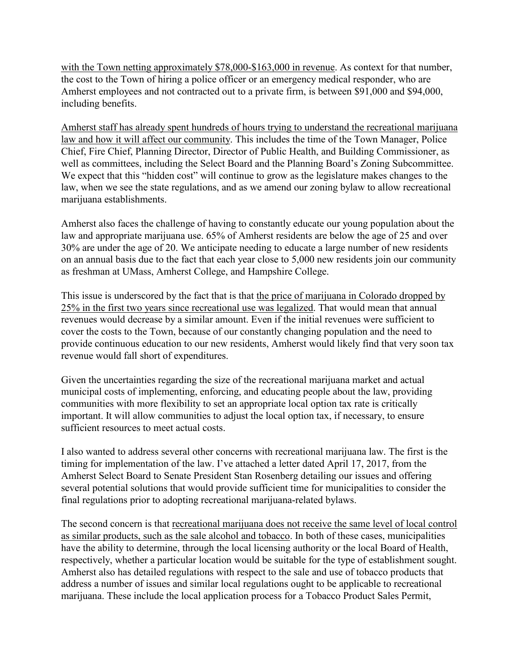with the Town netting approximately \$78,000-\$163,000 in revenue. As context for that number, the cost to the Town of hiring a police officer or an emergency medical responder, who are Amherst employees and not contracted out to a private firm, is between \$91,000 and \$94,000, including benefits.

Amherst staff has already spent hundreds of hours trying to understand the recreational marijuana law and how it will affect our community. This includes the time of the Town Manager, Police Chief, Fire Chief, Planning Director, Director of Public Health, and Building Commissioner, as well as committees, including the Select Board and the Planning Board's Zoning Subcommittee. We expect that this "hidden cost" will continue to grow as the legislature makes changes to the law, when we see the state regulations, and as we amend our zoning bylaw to allow recreational marijuana establishments.

Amherst also faces the challenge of having to constantly educate our young population about the law and appropriate marijuana use. 65% of Amherst residents are below the age of 25 and over 30% are under the age of 20. We anticipate needing to educate a large number of new residents on an annual basis due to the fact that each year close to 5,000 new residents join our community as freshman at UMass, Amherst College, and Hampshire College.

This issue is underscored by the fact that is that the price of marijuana in Colorado dropped by 25% in the first two years since recreational use was legalized. That would mean that annual revenues would decrease by a similar amount. Even if the initial revenues were sufficient to cover the costs to the Town, because of our constantly changing population and the need to provide continuous education to our new residents, Amherst would likely find that very soon tax revenue would fall short of expenditures.

Given the uncertainties regarding the size of the recreational marijuana market and actual municipal costs of implementing, enforcing, and educating people about the law, providing communities with more flexibility to set an appropriate local option tax rate is critically important. It will allow communities to adjust the local option tax, if necessary, to ensure sufficient resources to meet actual costs.

I also wanted to address several other concerns with recreational marijuana law. The first is the timing for implementation of the law. I've attached a letter dated April 17, 2017, from the Amherst Select Board to Senate President Stan Rosenberg detailing our issues and offering several potential solutions that would provide sufficient time for municipalities to consider the final regulations prior to adopting recreational marijuana-related bylaws.

The second concern is that recreational marijuana does not receive the same level of local control as similar products, such as the sale alcohol and tobacco. In both of these cases, municipalities have the ability to determine, through the local licensing authority or the local Board of Health, respectively, whether a particular location would be suitable for the type of establishment sought. Amherst also has detailed regulations with respect to the sale and use of tobacco products that address a number of issues and similar local regulations ought to be applicable to recreational marijuana. These include the local application process for a Tobacco Product Sales Permit,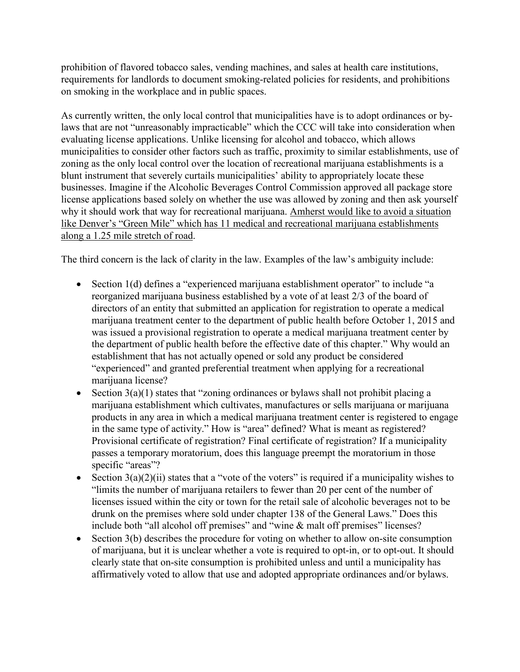prohibition of flavored tobacco sales, vending machines, and sales at health care institutions, requirements for landlords to document smoking-related policies for residents, and prohibitions on smoking in the workplace and in public spaces.

As currently written, the only local control that municipalities have is to adopt ordinances or bylaws that are not "unreasonably impracticable" which the CCC will take into consideration when evaluating license applications. Unlike licensing for alcohol and tobacco, which allows municipalities to consider other factors such as traffic, proximity to similar establishments, use of zoning as the only local control over the location of recreational marijuana establishments is a blunt instrument that severely curtails municipalities' ability to appropriately locate these businesses. Imagine if the Alcoholic Beverages Control Commission approved all package store license applications based solely on whether the use was allowed by zoning and then ask yourself why it should work that way for recreational marijuana. Amherst would like to avoid a situation like Denver's "Green Mile" which has 11 medical and recreational marijuana establishments along a 1.25 mile stretch of road.

The third concern is the lack of clarity in the law. Examples of the law's ambiguity include:

- Section 1(d) defines a "experienced marijuana establishment operator" to include "a reorganized marijuana business established by a vote of at least 2/3 of the board of directors of an entity that submitted an application for registration to operate a medical marijuana treatment center to the department of public health before October 1, 2015 and was issued a provisional registration to operate a medical marijuana treatment center by the department of public health before the effective date of this chapter." Why would an establishment that has not actually opened or sold any product be considered "experienced" and granted preferential treatment when applying for a recreational marijuana license?
- Section  $3(a)(1)$  states that "zoning ordinances or bylaws shall not prohibit placing a marijuana establishment which cultivates, manufactures or sells marijuana or marijuana products in any area in which a medical marijuana treatment center is registered to engage in the same type of activity." How is "area" defined? What is meant as registered? Provisional certificate of registration? Final certificate of registration? If a municipality passes a temporary moratorium, does this language preempt the moratorium in those specific "areas"?
- Section  $3(a)(2)(ii)$  states that a "vote of the voters" is required if a municipality wishes to "limits the number of marijuana retailers to fewer than 20 per cent of the number of licenses issued within the city or town for the retail sale of alcoholic beverages not to be drunk on the premises where sold under chapter 138 of the General Laws." Does this include both "all alcohol off premises" and "wine & malt off premises" licenses?
- $\bullet$  Section 3(b) describes the procedure for voting on whether to allow on-site consumption of marijuana, but it is unclear whether a vote is required to opt-in, or to opt-out. It should clearly state that on-site consumption is prohibited unless and until a municipality has affirmatively voted to allow that use and adopted appropriate ordinances and/or bylaws.